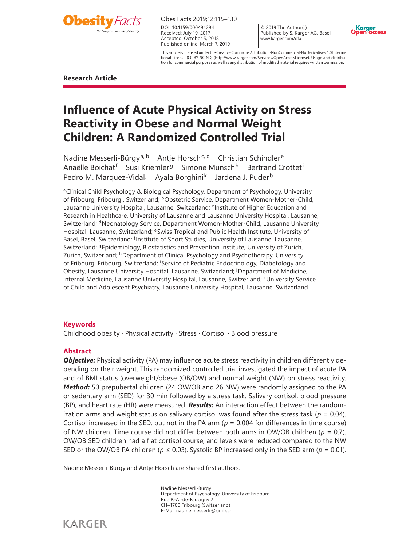

Received: July 19, 2017 Accepted: October 5, 2018 Published online: March 7, 2019 DOI: 10.1159/000494294

© 2019 The Author(s) Published by S. Karger AG, Basel www.karger.com/ofa



This article is licensed under the Creative Commons Attribution-NonCommercial-NoDerivatives 4.0 International License (CC BY-NC-ND) (http://www.karger.com/Services/OpenAccessLicense). Usage and distribution for commercial purposes as well as any distribution of modified material requires written permission.

**Research Article**

# **Influence of Acute Physical Activity on Stress Reactivity in Obese and Normal Weight Children: A Randomized Controlled Trial**

Nadine Messerli-Bürgy<sup>a, b</sup> Antje Horsch<sup>c, d</sup> Christian Schindler<sup>e</sup> Anaëlle Boichat<sup>f</sup> Susi Kriemler<sup>g</sup> Simone Munsch<sup>h</sup> Bertrand Crottet<sup>i</sup> Pedro M. Marquez-Vidal<sup>j</sup> Ayala Borghini<sup>k</sup> Jardena J. Puder<sup>b</sup>

aClinical Child Psychology & Biological Psychology, Department of Psychology, University of Fribourg, Fribourg, Switzerland; <sup>b</sup>Obstetric Service, Department Women-Mother-Child, Lausanne University Hospital, Lausanne, Switzerland; CInstitute of Higher Education and Research in Healthcare, University of Lausanne and Lausanne University Hospital, Lausanne, Switzerland; <sup>d</sup>Neonatology Service, Department Women-Mother-Child, Lausanne University Hospital, Lausanne, Switzerland; eSwiss Tropical and Public Health Institute, University of Basel, Basel, Switzerland; <sup>f</sup>Institute of Sport Studies, University of Lausanne, Lausanne, Switzerland; <sup>g</sup>Epidemiology, Biostatistics and Prevention Institute, University of Zurich, Zurich, Switzerland; <sup>h</sup>Department of Clinical Psychology and Psychotherapy, University of Fribourg, Fribourg, Switzerland; <sup>i</sup>Service of Pediatric Endocrinology, Diabetology and Obesity, Lausanne University Hospital, Lausanne, Switzerland; <sup>j</sup>Department of Medicine, Internal Medicine, Lausanne University Hospital, Lausanne, Switzerland; kUniversity Service of Child and Adolescent Psychiatry, Lausanne University Hospital, Lausanne, Switzerland

# **Keywords**

Childhood obesity · Physical activity · Stress · Cortisol · Blood pressure

# **Abstract**

*Objective:* Physical activity (PA) may influence acute stress reactivity in children differently depending on their weight. This randomized controlled trial investigated the impact of acute PA and of BMI status (overweight/obese (OB/OW) and normal weight (NW) on stress reactivity. *Method:* 50 prepubertal children (24 OW/OB and 26 NW) were randomly assigned to the PA or sedentary arm (SED) for 30 min followed by a stress task. Salivary cortisol, blood pressure (BP), and heart rate (HR) were measured. *Results:* An interaction effect between the randomization arms and weight status on salivary cortisol was found after the stress task ( $p = 0.04$ ). Cortisol increased in the SED, but not in the PA arm (*p* = 0.004 for differences in time course) of NW children. Time course did not differ between both arms in OW/OB children (*p* = 0.7). OW/OB SED children had a flat cortisol course, and levels were reduced compared to the NW SED or the OW/OB PA children ( $p \le 0.03$ ). Systolic BP increased only in the SED arm ( $p = 0.01$ ).

Nadine Messerli-Bürgy and Antje Horsch are shared first authors.

Nadine Messerli-Bürgy Department of Psychology, University of Fribourg Rue P.-A.-de-Faucigny 2 CH–1700 Fribourg (Switzerland) E-Mail nadine.messerli@unifr.ch

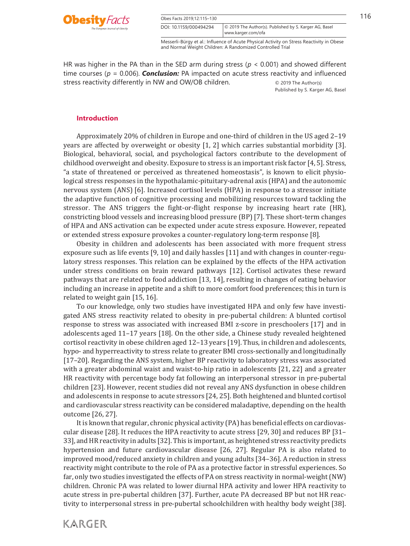

HR was higher in the PA than in the SED arm during stress (*p* < 0.001) and showed different time courses ( $p = 0.006$ ). **Conclusion:** PA impacted on acute stress reactivity and influenced stress reactivity differently in NW and OW/OB children. © 2019 The Author(s)

<span id="page-1-21"></span><span id="page-1-7"></span><span id="page-1-1"></span>Published by S. Karger AG, Basel

# **Introduction**

<span id="page-1-24"></span><span id="page-1-23"></span>**KARGER** 

<span id="page-1-3"></span><span id="page-1-2"></span><span id="page-1-0"></span>Approximately 20% of children in Europe and one-third of children in the US aged 2–19 years are affected by overweight or obesity [\[1,](#page-14-0) [2](#page-14-1)] which carries substantial morbidity [[3](#page-14-2)]. Biological, behavioral, social, and psychological factors contribute to the development of childhood overweight and obesity. Exposure to stress is an important risk factor [[4](#page-14-3), [5](#page-14-4)]. Stress, "a state of threatened or perceived as threatened homeostasis", is known to elicit physiological stress responses in the hypothalamic-pituitary-adrenal axis (HPA) and the autonomic nervous system (ANS) [\[6](#page-14-5)]. Increased cortisol levels (HPA) in response to a stressor initiate the adaptive function of cognitive processing and mobilizing resources toward tackling the stressor. The ANS triggers the fight-or-flight response by increasing heart rate (HR), constricting blood vessels and increasing blood pressure (BP) [[7\]](#page-14-6). These short-term changes of HPA and ANS activation can be expected under acute stress exposure. However, repeated or extended stress exposure provokes a counter-regulatory long-term response [\[8\]](#page-14-7).

<span id="page-1-8"></span><span id="page-1-6"></span><span id="page-1-5"></span><span id="page-1-4"></span>Obesity in children and adolescents has been associated with more frequent stress exposure such as life events [\[9](#page-14-8), [1](#page-14-0)0] and daily hassles [[11\]](#page-14-0) and with changes in counter-regulatory stress responses. This relation can be explained by the effects of the HPA activation under stress conditions on brain reward pathways [\[1](#page-14-0)[2\]](#page-14-1). Cortisol activates these reward pathways that are related to food addiction [[1](#page-14-0)[3](#page-14-2), [1](#page-14-0)[4\]](#page-14-3), resulting in changes of eating behavior including an increase in appetite and a shift to more comfort food preferences; this in turn is related to weight gain [[1](#page-14-0)[5,](#page-14-4) [1](#page-14-0)[6\]](#page-14-5).

<span id="page-1-14"></span><span id="page-1-13"></span><span id="page-1-12"></span><span id="page-1-11"></span><span id="page-1-10"></span><span id="page-1-9"></span>To our knowledge, only two studies have investigated HPA and only few have investigated ANS stress reactivity related to obesity in pre-pubertal children: A blunted cortisol response to stress was associated with increased BMI z-score in preschoolers [[1](#page-14-0)[7](#page-14-6)] and in adolescents aged 11–17 years [[1](#page-14-0)[8\]](#page-14-7). On the other side, a Chinese study revealed heightened cortisol reactivity in obese children aged 12–13 years [[1](#page-14-0)[9\]](#page-14-8). Thus, in children and adolescents, hypo- and hyperreactivity to stress relate to greater BMI cross-sectionally and longitudinally [[1](#page-14-0)[7](#page-14-6)–[2](#page-14-1)0]. Regarding the ANS system, higher BP reactivity to laboratory stress was associated with a greater abdominal waist and waist-to-hip ratio in adolescents [\[2](#page-14-1)[1,](#page-14-0) [22](#page-14-1)] and a greater HR reactivity with percentage body fat following an interpersonal stressor in pre-pubertal children [[2](#page-14-1)[3](#page-14-2)]. However, recent studies did not reveal any ANS dysfunction in obese children and adolescents in response to acute stressors [\[2](#page-14-1)[4,](#page-14-3) [2](#page-14-1)[5](#page-14-4)]. Both heightened and blunted cortisol and cardiovascular stress reactivity can be considered maladaptive, depending on the health outcome [\[2](#page-14-1)[6,](#page-14-5) [2](#page-14-1)[7\]](#page-14-6).

<span id="page-1-22"></span><span id="page-1-20"></span><span id="page-1-19"></span><span id="page-1-18"></span><span id="page-1-17"></span><span id="page-1-16"></span><span id="page-1-15"></span>It is known that regular, chronic physical activity (PA) has beneficial effects on cardiovascular disease [\[2](#page-14-1)[8\]](#page-14-7). It reduces the HPA reactivity to acute stress [\[2](#page-14-1)[9](#page-14-8), [3](#page-14-2)0] and reduces BP [\[3](#page-14-2)[1–](#page-14-0) [33\]](#page-14-2), and HR reactivity in adults [[3](#page-14-2)[2](#page-14-1)]. This is important, as heightened stress reactivity predicts hypertension and future cardiovascular disease [[2](#page-14-1)[6](#page-14-5), [2](#page-14-1)[7](#page-14-6)]. Regular PA is also related to improved mood/reduced anxiety in children and young adults [[3](#page-14-2)[4–](#page-14-3)[3](#page-14-2)[6](#page-14-5)]. A reduction in stress reactivity might contribute to the role of PA as a protective factor in stressful experiences. So far, only two studies investigated the effects of PA on stress reactivity in normal-weight (NW) children. Chronic PA was related to lower diurnal HPA activity and lower HPA reactivity to acute stress in pre-pubertal children [\[3](#page-14-2)[7](#page-14-6)]. Further, acute PA decreased BP but not HR reactivity to interpersonal stress in pre-pubertal schoolchildren with healthy body weight [[3](#page-14-2)[8](#page-14-7)].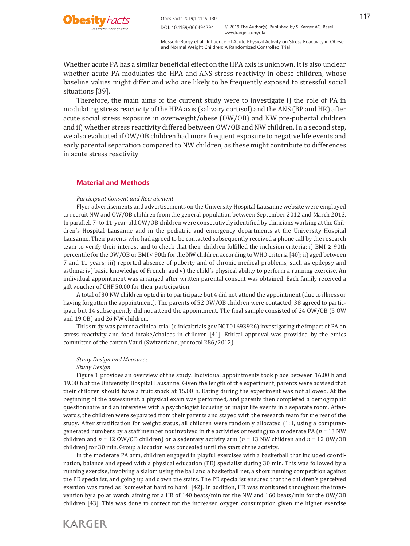

Messerli-Bürgy et al.: Influence of Acute Physical Activity on Stress Reactivity in Obese and Normal Weight Children: A Randomized Controlled Trial

Whether acute PA has a similar beneficial effect on the HPA axis is unknown. It is also unclear whether acute PA modulates the HPA and ANS stress reactivity in obese children, whose baseline values might differ and who are likely to be frequently exposed to stressful social situations [\[3](#page-14-2)[9](#page-14-8)].

<span id="page-2-0"></span>Therefore, the main aims of the current study were to investigate i) the role of PA in modulating stress reactivity of the HPA axis (salivary cortisol) and the ANS (BP and HR) after acute social stress exposure in overweight/obese (OW/OB) and NW pre-pubertal children and ii) whether stress reactivity differed between OW/OB and NW children. In a second step, we also evaluated if OW/OB children had more frequent exposure to negative life events and early parental separation compared to NW children, as these might contribute to differences in acute stress reactivity.

#### **Material and Methods**

#### *Participant Consent and Recruitment*

Flyer advertisements and advertisements on the University Hospital Lausanne website were employed to recruit NW and OW/OB children from the general population between September 2012 and March 2013. In parallel, 7- to 11-year-old OW/OB children were consecutively identified by clinicians working at the Children's Hospital Lausanne and in the pediatric and emergency departments at the University Hospital Lausanne. Their parents who had agreed to be contacted subsequently received a phone call by the research team to verify their interest and to check that their children fulfilled the inclusion criteria: i) BMI ≥ 90th percentile for the OW/OB or BMI < 90th for the NW children according to WHO criteria [\[4](#page-14-3)0]; ii) aged between 7 and 11 years; iii) reported absence of puberty and of chronic medical problems, such as epilepsy and asthma; iv) basic knowledge of French; and v) the child's physical ability to perform a running exercise. An individual appointment was arranged after written parental consent was obtained. Each family received a gift voucher of CHF 50.00 for their participation.

<span id="page-2-1"></span>A total of 30 NW children opted in to participate but 4 did not attend the appointment (due to illness or having forgotten the appointment). The parents of 52 OW/OB children were contacted, 38 agreed to participate but 14 subsequently did not attend the appointment. The final sample consisted of 24 OW/OB (5 OW and 19 OB) and 26 NW children.

<span id="page-2-2"></span>This study was part of a clinical trial (clinicaltrials.gov NCT01693926) investigating the impact of PA on stress reactivity and food intake/choices in children [[4](#page-14-3)[1\]](#page-14-0). Ethical approval was provided by the ethics committee of the canton Vaud (Switzerland, protocol 286/2012).

# *Study Design and Measures*

#### *Study Design*

<span id="page-2-4"></span>**KARGER** 

Figure 1 provides an overview of the study. Individual appointments took place between 16.00 h and 19.00 h at the University Hospital Lausanne. Given the length of the experiment, parents were advised that their children should have a fruit snack at 15.00 h. Eating during the experiment was not allowed. At the beginning of the assessment, a physical exam was performed, and parents then completed a demographic questionnaire and an interview with a psychologist focusing on major life events in a separate room. Afterwards, the children were separated from their parents and stayed with the research team for the rest of the study. After stratification for weight status, all children were randomly allocated (1:1, using a computergenerated numbers by a staff member not involved in the activities or testing) to a moderate PA (*n* = 13 NW children and *n* = 12 OW/OB children) or a sedentary activity arm (*n* = 13 NW children and *n* = 12 OW/OB children) for 30 min. Group allocation was concealed until the start of the activity.

<span id="page-2-3"></span>In the moderate PA arm, children engaged in playful exercises with a basketball that included coordination, balance and speed with a physical education (PE) specialist during 30 min. This was followed by a running exercise, involving a slalom using the ball and a basketball net, a short running competition against the PE specialist, and going up and down the stairs. The PE specialist ensured that the children's perceived exertion was rated as "somewhat hard to hard" [\[4](#page-14-3)[2](#page-14-1)]. In addition, HR was monitored throughout the intervention by a polar watch, aiming for a HR of 140 beats/min for the NW and 160 beats/min for the OW/OB children [\[4](#page-14-3)[3](#page-14-2)]. This was done to correct for the increased oxygen consumption given the higher exercise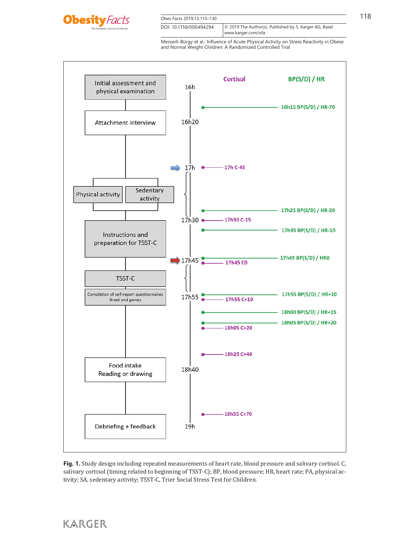

| Obes Facts 2019:12:115-130 |                                                                              | 118 |
|----------------------------|------------------------------------------------------------------------------|-----|
| DOI: 10.1159/000494294     | © 2019 The Author(s). Published by S. Karger AG, Basel<br>www.karger.com/ofa |     |



**Fig. 1.** Study design including repeated measurements of heart rate, blood pressure and salivary cortisol. C, salivary cortisol (timing related to beginning of TSST-C); BP, blood pressure; HR, heart rate; PA, physical activity; SA, sedentary activity; TSST-C, Trier Social Stress Test for Children.

# **KARGER**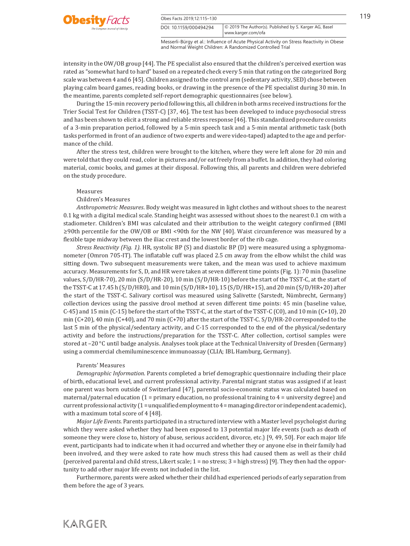



Messerli-Bürgy et al.: Influence of Acute Physical Activity on Stress Reactivity in Obese www.karger.com/ofa

DOI: 10.1159/000494294 © 2019 The Author(s). Published by S. Karger AG, Basel

and Normal Weight Children: A Randomized Controlled Trial

<span id="page-4-1"></span><span id="page-4-0"></span>intensity in the OW/OB group [[44\]](#page-14-3). The PE specialist also ensured that the children's perceived exertion was rated as "somewhat hard to hard" based on a repeated check every 5 min that rating on the categorized Borg scale was between 4 and 6 [[4](#page-14-3)[5\]](#page-14-4). Children assigned to the control arm (sedentary activity, SED) chose between playing calm board games, reading books, or drawing in the presence of the PE specialist during 30 min. In the meantime, parents completed self-report demographic questionnaires (see below).

<span id="page-4-2"></span>During the 15-min recovery period following this, all children in both arms received instructions for the Trier Social Test for Children (TSST-C) [[3](#page-14-2)[7,](#page-14-6) [4](#page-14-3)[6\]](#page-14-5). The test has been developed to induce psychosocial stress and has been shown to elicit a strong and reliable stress response [[4](#page-14-3)[6\]](#page-14-5). This standardized procedure consists of a 3-min preparation period, followed by a 5-min speech task and a 5-min mental arithmetic task (both tasks performed in front of an audience of two experts and were video-taped) adapted to the age and performance of the child.

After the stress test, children were brought to the kitchen, where they were left alone for 20 min and were told that they could read, color in pictures and/or eat freely from a buffet. In addition, they had coloring material, comic books, and games at their disposal. Following this, all parents and children were debriefed on the study procedure.

#### Measures

#### Children's Measures

*Anthropometric Measures*. Body weight was measured in light clothes and without shoes to the nearest 0.1 kg with a digital medical scale. Standing height was assessed without shoes to the nearest 0.1 cm with a stadiometer. Children's BMI was calculated and their attribution to the weight category confirmed (BMI ≥90th percentile for the OW/OB or BMI <90th for the NW [\[4](#page-14-3)0]. Waist circumference was measured by a flexible tape midway between the iliac crest and the lowest border of the rib cage.

*Stress Reactivity (Fig. 1).* HR, systolic BP (S) and diastolic BP (D) were measured using a sphygmomanometer (Omron 705-IT). The inflatable cuff was placed 2.5 cm away from the elbow whilst the child was sitting down. Two subsequent measurements were taken, and the mean was used to achieve maximum accuracy. Measurements for S, D, and HR were taken at seven different time points (Fig. 1): 70 min (baseline values, S/D/HR-70), 20 min (S/D/HR-20), 10 min (S/D/HR-10) before the start of the TSST-C, at the start of the TSST-C at 17.45 h (S/D/HR0), and 10 min (S/D/HR+10), 15 (S/D/HR+15), and 20 min (S/D/HR+20) after the start of the TSST-C. Salivary cortisol was measured using Salivette (Sarstedt, Nümbrecht, Germany) collection devices using the passive drool method at seven different time points: 45 min (baseline value, C-45) and 15 min (C-15) before the start of the TSST-C, at the start of the TSST-C (C0), and 10 min (C+10), 20 min (C+20), 40 min (C+40), and 70 min (C+70) after the start of the TSST-C. S/D/HR-20 corresponded to the last 5 min of the physical/sedentary activity, and C-15 corresponded to the end of the physical/sedentary activity and before the instructions/preparation for the TSST-C. After collection, cortisol samples were stored at –20 °C until badge analysis. Analyses took place at the Technical University of Dresden (Germany) using a commercial chemiluminescence immunoassay (CLIA; IBL Hamburg, Germany).

#### Parents' Measures

<span id="page-4-3"></span>*Demographic Information.* Parents completed a brief demographic questionnaire including their place of birth, educational level, and current professional activity. Parental migrant status was assigned if at least one parent was born outside of Switzerland [[4](#page-14-3)[7](#page-14-6)], parental socio-economic status was calculated based on maternal/paternal education (1 = primary education, no professional training to 4 = university degree) and current professional activity (1 = unqualified employment to 4 = managing director or independent academic), with a maximum total score of 4 [[4](#page-14-3)[8\]](#page-14-7).

<span id="page-4-5"></span><span id="page-4-4"></span>*Major Life Events.* Parents participated in a structured interview with a Master level psychologist during which they were asked whether they had been exposed to 13 potential major life events (such as death of someone they were close to, history of abuse, serious accident, divorce, etc.) [[9,](#page-14-8) [4](#page-14-3)[9,](#page-14-8) [50](#page-14-4)]. For each major life event, participants had to indicate when it had occurred and whether they or anyone else in their family had been involved, and they were asked to rate how much stress this had caused them as well as their child (perceived parental and child stress, Likert scale; 1 = no stress; 3 = high stress) [[9\]](#page-14-8). They then had the opportunity to add other major life events not included in the list.

Furthermore, parents were asked whether their child had experienced periods of early separation from them before the age of 3 years.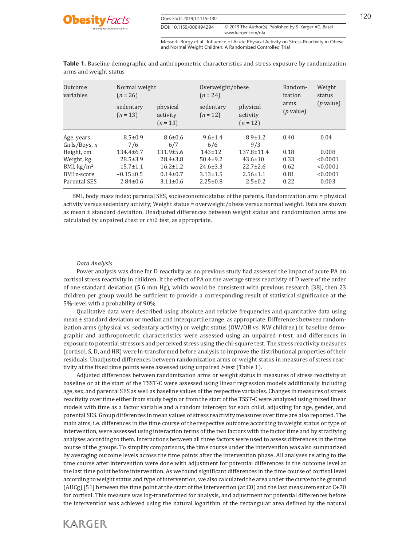

| Obes Facts 2019:12:115-130 |                                                                              | 120 |
|----------------------------|------------------------------------------------------------------------------|-----|
| DOI: 10.1159/000494294     | © 2019 The Author(s). Published by S. Karger AG, Basel<br>www.karger.com/ofa |     |

| Outcome<br>variables                | Normal weight<br>$(n = 26)$       |                                    | Overweight/obese<br>$(n = 24)$   |                                    | Random-<br>ization  | Weight<br>status     |
|-------------------------------------|-----------------------------------|------------------------------------|----------------------------------|------------------------------------|---------------------|----------------------|
|                                     | sedentary<br>$(n = 13)$           | physical<br>activity<br>$(n = 13)$ | sedentary<br>$(n = 12)$          | physical<br>activity<br>$(n = 12)$ | arms<br>$(p$ value) | ( <i>p</i> value)    |
| Age, years<br>Girls/Boys, $n$       | $8.5 \pm 0.9$<br>7/6              | $8.6 \pm 0.6$<br>6/7               | $9.6 \pm 1.4$<br>6/6             | $8.9 \pm 1.2$<br>9/3               | 0.40                | 0.04                 |
| Height, cm                          | $134.4 \pm 6.7$                   | $131.9 \pm 5.6$                    | $143+12$                         | $137.8 \pm 11.4$                   | 0.18                | 0.008                |
| Weight, kg                          | $28.5 \pm 3.9$                    | $28.4 \pm 3.8$                     | $50.4 + 9.2$                     | $43.6 \pm 10$                      | 0.33                | < 0.0001             |
| BMI, $\text{kg/m}^2$<br>BMI z-score | $15.7 \pm 1.1$<br>$-0.15 \pm 0.5$ | $16.2 \pm 1.2$<br>$0.14 \pm 0.7$   | $24.6 \pm 3.3$<br>$3.13 \pm 1.5$ | $22.7 \pm 2.6$<br>$2.56 \pm 1.1$   | 0.62<br>0.81        | < 0.0001<br>< 0.0001 |
| Parental SES                        | $2.84 \pm 0.6$                    | $3.11 \pm 0.6$                     | $2.25 \pm 0.8$                   | $2.5 \pm 0.2$                      | 0.22                | 0.003                |

**Table 1.** Baseline demographic and anthropometric characteristics and stress exposure by randomization arms and weight status

BMI, body mass index; parental SES, socioeconomic status of the parents. Randomization arm = physical activity versus sedentary activity; Weight status = overweight/obese versus normal weight. Data are shown as mean ± standard deviation. Unadjusted differences between weight status and randomization arms are calculated by unpaired *t* test or chi2 test, as appropriate.

#### *Data Analysis*

Power analysis was done for D reactivity as no previous study had assessed the impact of acute PA on cortisol stress reactivity in children. If the effect of PA on the average stress reactivity of D were of the order of one standard deviation (5.6 mm Hg), which would be consistent with previous research [\[3](#page-14-2)[8](#page-14-7)], then 23 children per group would be sufficient to provide a corresponding result of statistical significance at the 5%-level with a probability of 90%.

Qualitative data were described using absolute and relative frequencies and quantitative data using mean ± standard deviation or median and interquartile range, as appropriate. Differences between randomization arms (physical vs. sedentary activity) or weight status (OW/OB vs. NW children) in baseline demographic and anthropometric characteristics were assessed using an unpaired *t*-test, and differences in exposure to potential stressors and perceived stress using the chi-square test. The stress reactivity measures (cortisol, S, D, and HR) were ln-transformed before analysis to improve the distributional properties of their residuals. Unadjusted differences between randomization arms or weight status in measures of stress reactivity at the fixed time points were assessed using unpaired *t*-test (Table 1).

Adjusted differences between randomization arms or weight status in measures of stress reactivity at baseline or at the start of the TSST-C were assessed using linear regression models additionally including age, sex, and parental SES as well as baseline values of the respective variables. Changes in measures of stress reactivity over time either from study begin or from the start of the TSST-C were analyzed using mixed linear models with time as a factor variable and a random intercept for each child, adjusting for age, gender, and parental SES. Group differences in mean values of stress reactivity measures over time are also reported. The main aims, i.e. differences in the time course of the respective outcome according to weight status or type of intervention, were assessed using interaction terms of the two factors with the factor time and by stratifying analyses according to them. Interactions between all three factors were used to assess differences in the time course of the groups. To simplify comparisons, the time course under the intervention was also summarized by averaging outcome levels across the time points after the intervention phase. All analyses relating to the time course after intervention were done with adjustment for potential differences in the outcome level at the last time point before intervention. As we found significant differences in the time course of cortisol level according to weight status and type of intervention, we also calculated the area under the curve to the ground (AUCg) [[5](#page-14-4)[1\]](#page-14-0) between the time point at the start of the intervention (at C0) and the last measurement at  $C+70$ for cortisol. This measure was log-transformed for analysis, and adjustment for potential differences before the intervention was achieved using the natural logarithm of the rectangular area defined by the natural

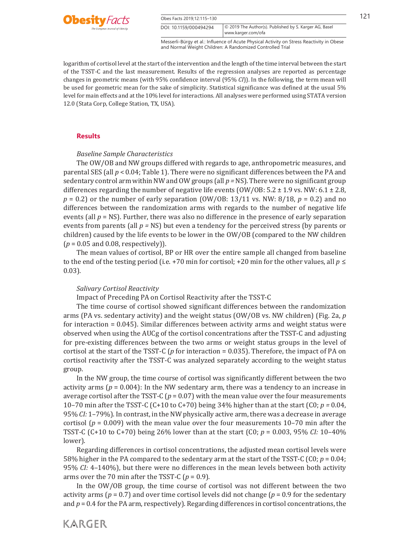

logarithm of cortisol level at the start of the intervention and the length of the time interval between the start of the TSST-C and the last measurement. Results of the regression analyses are reported as percentage changes in geometric means (with 95% confidence interval (95% *CI*)). In the following, the term mean will be used for geometric mean for the sake of simplicity. Statistical significance was defined at the usual 5% level for main effects and at the 10% level for interactions. All analyses were performed using STATA version 12.0 (Stata Corp, College Station, TX, USA).

#### **Results**

#### *Baseline Sample Characteristics*

The OW/OB and NW groups differed with regards to age, anthropometric measures, and parental SES (all *p* < 0.04; Table 1). There were no significant differences between the PA and sedentary control arm within NW and OW groups (all *p =* NS). There were no significant group differences regarding the number of negative life events (OW/OB:  $5.2 \pm 1.9$  vs. NW:  $6.1 \pm 2.8$ , *p* = 0.2) or the number of early separation (OW/OB: 13/11 vs. NW: 8/18, *p* = 0.2) and no differences between the randomization arms with regards to the number of negative life events (all *p* = NS). Further, there was also no difference in the presence of early separation events from parents (all *p =* NS) but even a tendency for the perceived stress (by parents or children) caused by the life events to be lower in the OW/OB (compared to the NW children (*p* = 0.05 and 0.08, respectively)).

The mean values of cortisol, BP or HR over the entire sample all changed from baseline to the end of the testing period (i.e. +70 min for cortisol; +20 min for the other values, all *p* ≤ 0.03).

# *Salivary Cortisol Reactivity*

**KARGER** 

Impact of Preceding PA on Cortisol Reactivity after the TSST-C

The time course of cortisol showed significant differences between the randomization arms (PA vs. sedentary activity) and the weight status (OW/OB vs. NW children) (Fig. 2a, *p* for interaction = 0.045). Similar differences between activity arms and weight status were observed when using the AUCg of the cortisol concentrations after the TSST-C and adjusting for pre-existing differences between the two arms or weight status groups in the level of cortisol at the start of the TSST-C (*p* for interaction = 0.035). Therefore, the impact of PA on cortisol reactivity after the TSST-C was analyzed separately according to the weight status group.

In the NW group, the time course of cortisol was significantly different between the two activity arms  $(p = 0.004)$ : In the NW sedentary arm, there was a tendency to an increase in average cortisol after the TSST-C ( $p = 0.07$ ) with the mean value over the four measurements 10–70 min after the TSST-C (C+10 to C+70) being 34% higher than at the start (C0; *p =* 0.04, 95% *CI:* 1–79%). In contrast, in the NW physically active arm, there was a decrease in average cortisol ( $p = 0.009$ ) with the mean value over the four measurements 10–70 min after the TSST-C (C+10 to C+70) being 26% lower than at the start (C0; *p* = 0.003, 95% *CI:* 10–40% lower).

Regarding differences in cortisol concentrations, the adjusted mean cortisol levels were 58% higher in the PA compared to the sedentary arm at the start of the TSST-C (C0; *p* = 0.04; 95% *CI:* 4–140%), but there were no differences in the mean levels between both activity arms over the 70 min after the TSST-C  $(p = 0.9)$ .

In the OW/OB group, the time course of cortisol was not different between the two activity arms ( $p = 0.7$ ) and over time cortisol levels did not change ( $p = 0.9$  for the sedentary and *p* = 0.4 for the PA arm, respectively). Regarding differences in cortisol concentrations, the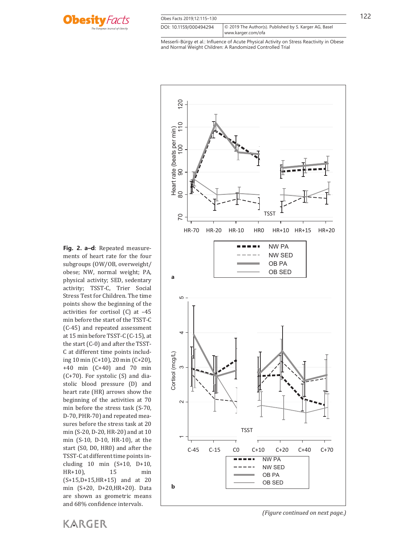

| Obes Facts 2019:12:115-130 |                                                        | 122 |
|----------------------------|--------------------------------------------------------|-----|
| DOI: 10.1159/000494294     | © 2019 The Author(s). Published by S. Karger AG, Basel |     |
|                            | www.karger.com/ofal                                    |     |



**Fig. 2. a–d**: Repeated measurements of heart rate for the four subgroups (OW/OB, overweight/ obese; NW, normal weight; PA, physical activity; SED, sedentary activity; TSST-C, Trier Social Stress Test for Children. The time points show the beginning of the activities for cortisol (C) at –45 min before the start of the TSST-C (C-45) and repeated assessment at 15 min before TSST-C (C-15), at the start (C-0) and after the TSST-C at different time points including 10 min (C+10), 20 min (C+20), +40 min (C+40) and 70 min (C+70). For systolic (S) and diastolic blood pressure (D) and heart rate (HR) arrows show the beginning of the activities at 70 min before the stress task (S-70, D-70, PHR-70) and repeated measures before the stress task at 20 min (S-20, D-20, HR-20) and at 10 min (S-10, D-10, HR-10), at the start (S0, D0, HR0) and after the TSST-C at different time points including 10 min (S+10, D+10,<br>HR+10), 15 min HR+10), 15 min (S+15,D+15,HR+15) and at 20 min (S+20, D+20,HR+20). Data are shown as geometric means and 68% confidence intervals.

**KARGER** 

*(Figure continued on next page.)*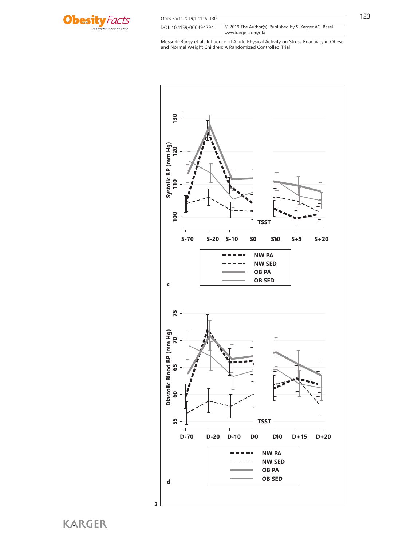

| Obes Facts 2019;12:115-130 |
|----------------------------|
|----------------------------|

| Obes Facts 2019;12:115-130 |                                                        |  |
|----------------------------|--------------------------------------------------------|--|
| DOI: 10.1159/000494294     | © 2019 The Author(s). Published by S. Karger AG, Basel |  |
|                            | www.karger.com/ofa                                     |  |



**KARGER**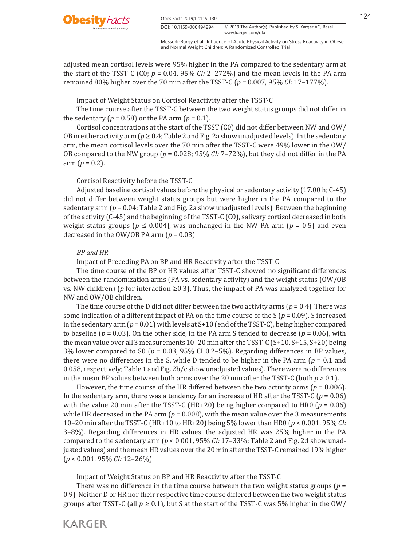

www.karger.com/ofa DOI: 10.1159/000494294 © 2019 The Author(s). Published by S. Karger AG, Basel

Messerli-Bürgy et al.: Influence of Acute Physical Activity on Stress Reactivity in Obese and Normal Weight Children: A Randomized Controlled Trial

adjusted mean cortisol levels were 95% higher in the PA compared to the sedentary arm at the start of the TSST-C (C0; *p =* 0.04, 95% *CI:* 2–272%) and the mean levels in the PA arm remained 80% higher over the 70 min after the TSST-C (*p =* 0.007, 95% *CI:* 17–177%).

Impact of Weight Status on Cortisol Reactivity after the TSST-C

The time course after the TSST-C between the two weight status groups did not differ in the sedentary ( $p = 0.58$ ) or the PA arm ( $p = 0.1$ ).

Cortisol concentrations at the start of the TSST (C0) did not differ between NW and OW/ OB in either activity arm ( $p \ge 0.4$ ; Table 2 and Fig. 2a show unadjusted levels). In the sedentary arm, the mean cortisol levels over the 70 min after the TSST-C were 49% lower in the OW/ OB compared to the NW group (*p* = 0.028; 95% *CI:* 7–72%), but they did not differ in the PA arm  $(p = 0.2)$ .

Cortisol Reactivity before the TSST-C

Adjusted baseline cortisol values before the physical or sedentary activity (17.00 h; C-45) did not differ between weight status groups but were higher in the PA compared to the sedentary arm (*p =* 0.04; Table 2 and Fig. 2a show unadjusted levels). Between the beginning of the activity (C-45) and the beginning of the TSST-C (C0), salivary cortisol decreased in both weight status groups ( $p \le 0.004$ ), was unchanged in the NW PA arm ( $p = 0.5$ ) and even decreased in the OW/OB PA arm (*p =* 0.03).

# *BP and HR*

**KARGER** 

Impact of Preceding PA on BP and HR Reactivity after the TSST-C

The time course of the BP or HR values after TSST-C showed no significant differences between the randomization arms (PA vs. sedentary activity) and the weight status (OW/OB vs. NW children) (*p* for interaction ≥0.3). Thus, the impact of PA was analyzed together for NW and OW/OB children.

The time course of the D did not differ between the two activity arms ( $p = 0.4$ ). There was some indication of a different impact of PA on the time course of the S (*p =* 0.09). S increased in the sedentary arm  $(p = 0.01)$  with levels at S+10 (end of the TSST-C), being higher compared to baseline ( $p = 0.03$ ). On the other side, in the PA arm S tended to decrease ( $p = 0.06$ ), with the mean value over all 3 measurements 10–20 min after the TSST-C (S+10, S+15, S+20) being 3% lower compared to S0 (*p* = 0.03, 95% CI 0.2–5%). Regarding differences in BP values, there were no differences in the S, while D tended to be higher in the PA arm ( $p = 0.1$  and 0.058, respectively; Table 1 and Fig. 2b/c show unadjusted values). There were no differences in the mean BP values between both arms over the 20 min after the TSST-C (both  $p > 0.1$ ).

However, the time course of the HR differed between the two activity arms ( $p = 0.006$ ). In the sedentary arm, there was a tendency for an increase of HR after the TSST-C ( $p = 0.06$ ) with the value 20 min after the TSST-C (HR+20) being higher compared to HR0 ( $p = 0.06$ ) while HR decreased in the PA arm ( $p = 0.008$ ), with the mean value over the 3 measurements 10–20 min after the TSST-C (HR+10 to HR+20) being 5% lower than HR0 (*p* < 0.001, 95% *CI:* 3–8%). Regarding differences in HR values, the adjusted HR was 25% higher in the PA compared to the sedentary arm (*p* < 0.001, 95% *CI:* 17–33%; Table 2 and Fig. 2d show unadjusted values) and the mean HR values over the 20 min after the TSST-C remained 19% higher (*p* < 0.001, 95% *CI:* 12–26%).

Impact of Weight Status on BP and HR Reactivity after the TSST-C

There was no difference in the time course between the two weight status groups (*p* = 0.9). Neither D or HR nor their respective time course differed between the two weight status groups after TSST-C (all  $p \ge 0.1$ ), but S at the start of the TSST-C was 5% higher in the OW/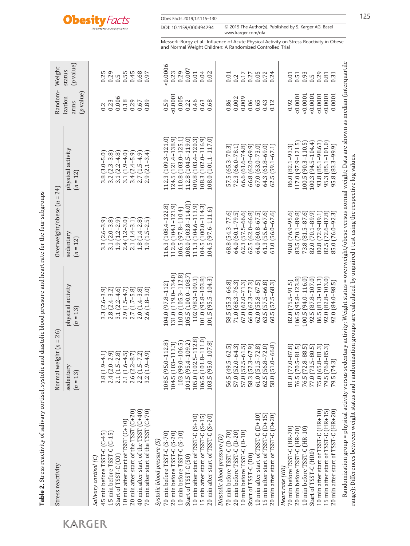| Stress reactivity                                                                                                                                                                          | Normal weight $(n = 26)$                                          |                                        | Overweight/obese $(n =$                      | 24)                                                                                                             | Random-                                | Weight                |
|--------------------------------------------------------------------------------------------------------------------------------------------------------------------------------------------|-------------------------------------------------------------------|----------------------------------------|----------------------------------------------|-----------------------------------------------------------------------------------------------------------------|----------------------------------------|-----------------------|
|                                                                                                                                                                                            | sedentary<br>$(n = 13)$                                           | physical activity<br>$(n = 13)$        | sedentary<br>$(n = 12)$                      | physical activity<br>$(n = 12)$                                                                                 | $(p \text{ value})$<br>ization<br>arms | $(p$ value)<br>status |
| Salivary cortisol (C)                                                                                                                                                                      |                                                                   |                                        |                                              |                                                                                                                 |                                        |                       |
| 45 min before TSST-C (C-45)                                                                                                                                                                | $3.8(1.9 - 4.1)$                                                  | $(2.6 - 3.9)$<br>3.3                   | $(2.6 - 3.9)$<br>$3.\overline{3}$            | $(3.0 - 5.0)$<br>3.8                                                                                            | 0.2                                    | 0.25                  |
| 15 min before TSST-C (C-15)                                                                                                                                                                | $2.4$ ( $2.0-2.9$ )<br>$2.1$ (1.5-2.8)<br>$2.1$ (1.6-4.5)         | $2.8(2.4 - 3.2)$                       | $3.1(2.0-3.8)$                               | $3.2$ $(2.3 - 3.8)$                                                                                             | 0.23                                   | 0.29                  |
| Start of TSST-C (C0)                                                                                                                                                                       |                                                                   | 3.1 $(2.2 - 4.6)$                      | $1.9(1.2-2.9)$                               | $3.1(2.2 - 4.8)$                                                                                                | 0.006                                  | 0.5                   |
| 10 min after start of TSST (C+10)                                                                                                                                                          |                                                                   | $2.9(1.5-4.7)$                         | $2.4(1.2-3.0)$                               | 3.1 $(1.9-4.0)$                                                                                                 | 0.18                                   | 0.55                  |
| 20 min after start of the TSST (C+20)                                                                                                                                                      |                                                                   | $2.7(1.7-5.8)$                         | $2.1(1.4-3.1)$                               | $3.4(2.4-5.9)$                                                                                                  | 0.29                                   | 0.45                  |
| 70 min after start of the TSST (C+70)<br>40 min after start of the TSST (C+40)                                                                                                             | $2.6$ $(2.2 - 8.7)$<br>$2.2$ $(1.5 - 7.2)$<br>$3.2$ $(1.9 - 4.9)$ | $(1.8 - 3.0)$<br>$2.0(1.4-3.8)$<br>2.6 | $(1.4 - 2.8)$<br>$(1.5 - 2.5)$<br>1.8<br>0.1 | $(2.1 - 3.4)$<br>$2.7(1.5-4.9)$<br>2.9                                                                          | $0.67$<br>0.89                         | 0.68<br>0.97          |
| Systolic blood pressure (S)                                                                                                                                                                |                                                                   |                                        |                                              |                                                                                                                 |                                        |                       |
| 70 min before TSST-C (S-70)                                                                                                                                                                | 108.5 (95.0-112.8)                                                | 104.0 (97.8-112)                       | 116.3 (108.4-122.8)                          | 112.3 (109.3-121.0)                                                                                             | 0.59                                   | &0.0006               |
| 20 min before TSST-C (S-20)                                                                                                                                                                | 104.5 (103-113.3)                                                 | 131.0 (119.0-134.0)                    | 112.0 (104.1-121.9)                          | 124.5 (121.4-138.9)                                                                                             | &0.0001                                | 0.23                  |
| 10 min before TSST-C (S-10)                                                                                                                                                                | 103 (99.0-106.5)                                                  | 110.0 (105.3-112.8)                    | 106.5 (97.8-110.4)                           | 110.8 (103.0-125.1)                                                                                             | 0.005                                  | 0.29                  |
| Start of TSST-C (S0)                                                                                                                                                                       | 101.5 (95.4-109.2)                                                | 105.5 (100.0-108.7                     | 108.0 (103.8-114.0))                         | 112.8 (104.5-119.0)                                                                                             | 0.22                                   | 0.007                 |
| 10 min after start of TSST-C (S+10)                                                                                                                                                        | $.5 - 112.8$<br>105.0 (102                                        | 102 (98.3-109.3)                       | 111.3 (104.6-113.9)                          | $109.8$ $(103.4 - 120.3)$                                                                                       | 0.46                                   | 0.01                  |
| 15 min after start of TSST-C (S+15)                                                                                                                                                        | $.8 - 111.0$<br>106.5 (101.8-111.0<br>103.5 (95.0-107.8)          | $101.0$ (95.8-103.8)                   | 104.5 (100.0-114.3)                          | $108.3(102.0 - 116.9)$                                                                                          | 0.63                                   | 0.04                  |
| 20 min after start of TSST-C (S+20)                                                                                                                                                        |                                                                   | $(95.5 - 104.3)$<br>η<br>101           | $(97.6 - 111.6)$<br>104.5                    | 108.0 (101.1-117.0)                                                                                             | 0.68                                   | 0.02                  |
| Diastolic blood pressure (D)                                                                                                                                                               |                                                                   |                                        |                                              |                                                                                                                 |                                        |                       |
| 70 min before TSST-C (D-70)                                                                                                                                                                | 56.5 (49.5–62.5)<br>57.0 (52.0–64.3)<br>57.0 (52.5–61.5)          | 58.5 (55.3-66.8)                       | 68.8 (54.3-77.6)                             | 57.5 (65.3-70.3)                                                                                                | 0.86                                   | 0.01                  |
| 20 min before TSST-C (D-20)                                                                                                                                                                |                                                                   | 71.0 (68.3-76.3)                       | 64.0 (60.1-79.5)                             | 72.3 (66.0-78.1)                                                                                                | 0.002                                  | 0.2                   |
| 10 min before TSST-C (D-10)                                                                                                                                                                |                                                                   | $67.0$ $(62.0 - 71.3)$                 | 62.3 [57.5-66.6]                             | 66.6 (61.6-74.8)                                                                                                | 0.009                                  | 0.17                  |
| Start of TSST-C (D0)                                                                                                                                                                       | 58.3 (52.3-67.9)                                                  | 66.0 (62.3-72.3)                       | 62.5 (62.0-66.8)                             | 66.8 (62.0-69.9)                                                                                                | 0.06                                   | 0.27                  |
| 10 min after start of TSST-C (D+10)                                                                                                                                                        | $61.0$ $(51.5 - 72.8)$                                            | $(55.8 - 67.5)$<br>62.0                | 64.0 (60.8-67.5)                             | $67.0(63.0 - 73.0)$                                                                                             | 0.65                                   | 0.05                  |
| 15 min after start of TSST-C (D+15)                                                                                                                                                        | 62.5 (56.8-72.0)                                                  | $[57.5 - 66.8]$<br>63.5                | $(55.6 - 67.6)$<br>61.3                      | $64.3(61.8-69.0)$                                                                                               | 0.43                                   | 0.72                  |
| 20 min after start of TSST-C (D+20)                                                                                                                                                        | 58.0 [51.0-66.8]                                                  | $[57.5 - 68.3]$<br>60.5                | $61.0$ $(56.0 - 67.6)$                       | $(59.1 - 67.1)$<br>62.5                                                                                         | 0.12                                   | 0.24                  |
| Heart rate (HR)                                                                                                                                                                            |                                                                   |                                        |                                              |                                                                                                                 |                                        |                       |
| 70 min before TSST-C (HR-70)                                                                                                                                                               | 81.0 (77.0-87.8)                                                  | 82.0 (75.5-91.5)                       | 90.8 (76.9-95.6)                             | 86.0 (82.1-93.3)                                                                                                | 0.92                                   | 0.01                  |
| 20 min before TSST-C (HR-20)                                                                                                                                                               |                                                                   | 106.5 (95.8-123.8)                     | 83.5 (70.1-89.8)                             | 117.0 (97.9-121.5)                                                                                              | &0.0001                                | 0.51                  |
| 10 min before TSST-C (HR-10)                                                                                                                                                               | 76.5 (70.5-81.5)<br>76.5 (72.8-88.5)                              | 100.5 (94.0-116.0)                     | 73.8 (81.5-87.6)                             | 100.5 (90.3-110.5)                                                                                              | &0.0001                                | 0.93                  |
| Start of TSST-C (HRO)                                                                                                                                                                      | $77.0$ $(73.5 - 80.5)$                                            | 92.5 (87.8-107.0)                      | 82.0 (70.1-89.9)                             | 100.3 (94.5-104.4)                                                                                              | 0.0001                                 | 0.5                   |
| 10 min after start of TSST-C (HR+10)                                                                                                                                                       | 75.0 (65.8-81.3)                                                  | 86.5 (81.3-101.3)                      | 80.8 (72.9-89.1)                             | 93.8 (85.1-98.63)                                                                                               | &0.0001                                | 0.29                  |
| 15 min after start of TSST-C (HR+15)                                                                                                                                                       | 79.5 (76.8-85.3)                                                  | 92.0 (82.8-103.0)                      | 82.5 (72.6-87.8)                             | 95.3 (85.1-101.0)                                                                                               | &0.0001                                | 0.81                  |
| 20 min after start of TSST-C (HR+20)                                                                                                                                                       | 79.5 (74.3)                                                       | 92.0 (84.0-98.5)                       | 85.0 (76.0-92.3)                             | 95.8 (83.3-99.9)                                                                                                | 0.0001                                 | 0.31                  |
| range); Differences between weight status and randomization groups are calculated by unpaired t test using the respective log values<br>Randomization group = physical activity versus sed |                                                                   |                                        |                                              | entary activity; Weight status = overweight/obese versus normal weight; Data are shown as median (interquartile |                                        |                       |

**Table 2.** Stress reactivity of salivary cortisol, systolic and diastolic blood pressure and heart rate for the four subgroups sith  $for the form$  $\frac{1}{4}$ j  $\overline{a}$ and diastolic blo  $\sim$ io ÷  $+1$  and انده ع  $\ddotsc$ Table 2 Str.

**KARGER** 

Obes Facts 2019;12:115–130 125

**Obesity Facts** 

DOI: 10.1159/000494294 © 2019 The Author(s). Published by S. Karger AG, Basel

Messerli-Bürgy et al.: Influence of Acute Physical Activity on Stress Reactivity in Obese and Normal Weight Children: A Randomized Controlled Trial

www.karger.com/ofa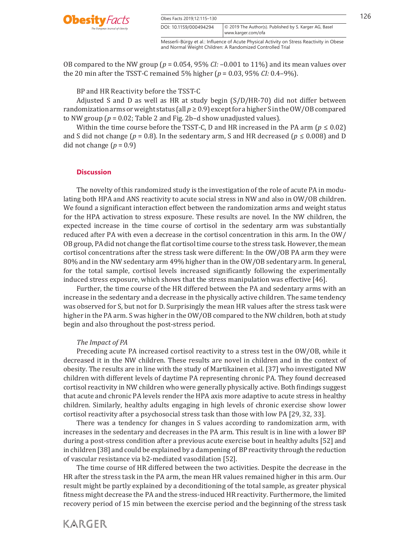

OB compared to the NW group (*p* = 0.054, 95% *CI:* –0.001 to 11%) and its mean values over the 20 min after the TSST-C remained 5% higher (*p* = 0.03, 95% *CI:* 0.4–9%).

BP and HR Reactivity before the TSST-C

Adjusted S and D as well as HR at study begin (S/D/HR-70) did not differ between randomization arms or weight status (all *p* ≥ 0.9) except for a higher S in the OW/OB compared to NW group ( $p = 0.02$ ; Table 2 and Fig. 2b-d show unadjusted values).

Within the time course before the TSST-C, D and HR increased in the PA arm ( $p \le 0.02$ ) and S did not change ( $p = 0.8$ ). In the sedentary arm, S and HR decreased ( $p \le 0.008$ ) and D did not change  $(p = 0.9)$ 

# **Discussion**

The novelty of this randomized study is the investigation of the role of acute PA in modulating both HPA and ANS reactivity to acute social stress in NW and also in OW/OB children. We found a significant interaction effect between the randomization arms and weight status for the HPA activation to stress exposure. These results are novel. In the NW children, the expected increase in the time course of cortisol in the sedentary arm was substantially reduced after PA with even a decrease in the cortisol concentration in this arm. In the OW/ OB group, PA did not change the flat cortisol time course to the stress task. However, the mean cortisol concentrations after the stress task were different: In the OW/OB PA arm they were 80% and in the NW sedentary arm 49% higher than in the OW/OB sedentary arm. In general, for the total sample, cortisol levels increased significantly following the experimentally induced stress exposure, which shows that the stress manipulation was effective [\[4](#page-14-3)[6\]](#page-14-5).

Further, the time course of the HR differed between the PA and sedentary arms with an increase in the sedentary and a decrease in the physically active children. The same tendency was observed for S, but not for D. Surprisingly the mean HR values after the stress task were higher in the PA arm. S was higher in the OW/OB compared to the NW children, both at study begin and also throughout the post-stress period.

#### *The Impact of PA*

**KARGER** 

Preceding acute PA increased cortisol reactivity to a stress test in the OW/OB, while it decreased it in the NW children. These results are novel in children and in the context of obesity. The results are in line with the study of Martikainen et al. [[3](#page-14-2)[7](#page-14-6)] who investigated NW children with different levels of daytime PA representing chronic PA. They found decreased cortisol reactivity in NW children who were generally physically active. Both findings suggest that acute and chronic PA levels render the HPA axis more adaptive to acute stress in healthy children. Similarly, healthy adults engaging in high levels of chronic exercise show lower cortisol reactivity after a psychosocial stress task than those with low PA [[2](#page-14-1)[9](#page-14-8), [3](#page-14-2)[2](#page-14-1), [33](#page-14-2)].

There was a tendency for changes in S values according to randomization arm, with increases in the sedentary and decreases in the PA arm. This result is in line with a lower BP during a post-stress condition after a previous acute exercise bout in healthy adults [[5](#page-14-4)[2](#page-14-1)] and in children [\[3](#page-14-2)[8\]](#page-14-7) and could be explained by a dampening of BP reactivity through the reduction of vascular resistance via b2-mediated vasodilation [[5](#page-14-4)[2](#page-14-1)].

The time course of HR differed between the two activities. Despite the decrease in the HR after the stress task in the PA arm, the mean HR values remained higher in this arm. Our result might be partly explained by a deconditioning of the total sample, as greater physical fitness might decrease the PA and the stress-induced HR reactivity. Furthermore, the limited recovery period of 15 min between the exercise period and the beginning of the stress task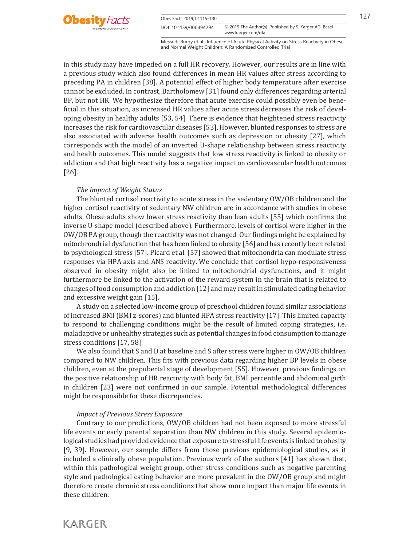

www.karger.com/ofa DOI: 10.1159/000494294 © 2019 The Author(s). Published by S. Karger AG, Basel

Messerli-Bürgy et al.: Influence of Acute Physical Activity on Stress Reactivity in Obese and Normal Weight Children: A Randomized Controlled Trial

in this study may have impeded on a full HR recovery. However, our results are in line with a previous study which also found differences in mean HR values after stress according to preceding PA in children [\[3](#page-14-2)[8](#page-14-7)]. A potential effect of higher body temperature after exercise cannot be excluded. In contrast, Bartholomew [\[3](#page-14-2)[1\]](#page-14-0) found only differences regarding arterial BP, but not HR. We hypothesize therefore that acute exercise could possibly even be beneficial in this situation, as increased HR values after acute stress decreases the risk of developing obesity in healthy adults [[5](#page-14-4)[3,](#page-14-2) [5](#page-14-4)[4\]](#page-14-3). There is evidence that heightened stress reactivity increases the risk for cardiovascular diseases [\[5](#page-14-4)[3](#page-14-2)]. However, blunted responses to stress are also associated with adverse health outcomes such as depression or obesity [\[2](#page-14-1)[7](#page-14-6)], which corresponds with the model of an inverted U-shape relationship between stress reactivity and health outcomes. This model suggests that low stress reactivity is linked to obesity or addiction and that high reactivity has a negative impact on cardiovascular health outcomes [[2](#page-14-1)[6\]](#page-14-5).

# *The Impact of Weight Status*

The blunted cortisol reactivity to acute stress in the sedentary OW/OB children and the higher cortisol reactivity of sedentary NW children are in accordance with studies in obese adults. Obese adults show lower stress reactivity than lean adults [\[55\]](#page-14-4) which confirms the inverse U-shape model (described above). Furthermore, levels of cortisol were higher in the OW/OB PA group, though the reactivity was not changed. Our findings might be explained by mitochrondrial dysfunction that has been linked to obesity [\[5](#page-14-4)[6\]](#page-14-5) and has recently been related to psychological stress [[5](#page-14-4)[7](#page-14-6)]. Picard et al. [\[5](#page-14-4)[7\]](#page-14-6) showed that mitochondria can modulate stress responses via HPA axis and ANS reactivity. We conclude that cortisol hypo-responsiveness observed in obesity might also be linked to mitochondrial dysfunctions, and it might furthermore be linked to the activation of the reward system in the brain that is related to changes of food consumption and addiction [\[1](#page-14-0)[2\]](#page-14-1) and may result in stimulated eating behavior and excessive weight gain [[1](#page-14-0)[5\]](#page-14-4).

A study on a selected low-income group of preschool children found similar associations of increased BMI (BMI z-scores) and blunted HPA stress reactivity [\[1](#page-14-0)[7\]](#page-14-6). This limited capacity to respond to challenging conditions might be the result of limited coping strategies, i.e. maladaptive or unhealthy strategies such as potential changes in food consumption to manage stress conditions [\[1](#page-14-0)[7,](#page-14-6) [5](#page-14-4)[8\]](#page-14-7).

We also found that S and D at baseline and S after stress were higher in OW/OB children compared to NW children. This fits with previous data regarding higher BP levels in obese children, even at the prepubertal stage of development [\[55\]](#page-14-4). However, previous findings on the positive relationship of HR reactivity with body fat, BMI percentile and abdominal girth in children [[2](#page-14-1)[3](#page-14-2)] were not confirmed in our sample. Potential methodological differences might be responsible for these discrepancies.

# *Impact of Previous Stress Exposure*

Contrary to our predictions, OW/OB children had not been exposed to more stressful life events or early parental separation than NW children in this study. Several epidemiological studies had provided evidence that exposure to stressful life events is linked to obesity [[9,](#page-14-8) [3](#page-14-2)[9\]](#page-14-8). However, our sample differs from those previous epidemiological studies, as it included a clinically obese population. Previous work of the authors [\[4](#page-14-3)[1\]](#page-14-0) has shown that, within this pathological weight group, other stress conditions such as negative parenting style and pathological eating behavior are more prevalent in the OW/OB group and might therefore create chronic stress conditions that show more impact than major life events in these children.

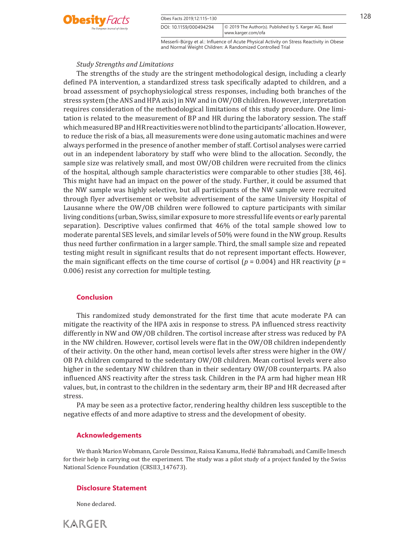

www.karger.com/ofa DOI: 10.1159/000494294 © 2019 The Author(s). Published by S. Karger AG, Basel

Messerli-Bürgy et al.: Influence of Acute Physical Activity on Stress Reactivity in Obese and Normal Weight Children: A Randomized Controlled Trial

#### *Study Strengths and Limitations*

The strengths of the study are the stringent methodological design, including a clearly defined PA intervention, a standardized stress task specifically adapted to children, and a broad assessment of psychophysiological stress responses, including both branches of the stress system (the ANS and HPA axis) in NW and in OW/OB children. However, interpretation requires consideration of the methodological limitations of this study procedure. One limitation is related to the measurement of BP and HR during the laboratory session. The staff which measured BP and HR reactivities were not blind to the participants' allocation. However, to reduce the risk of a bias, all measurements were done using automatic machines and were always performed in the presence of another member of staff. Cortisol analyses were carried out in an independent laboratory by staff who were blind to the allocation. Secondly, the sample size was relatively small, and most OW/OB children were recruited from the clinics of the hospital, although sample characteristics were comparable to other studies [[3](#page-14-2)[8,](#page-14-7) [4](#page-14-3)[6](#page-14-5)]. This might have had an impact on the power of the study. Further, it could be assumed that the NW sample was highly selective, but all participants of the NW sample were recruited through flyer advertisement or website advertisement of the same University Hospital of Lausanne where the OW/OB children were followed to capture participants with similar living conditions (urban, Swiss, similar exposure to more stressful life events or early parental separation). Descriptive values confirmed that 46% of the total sample showed low to moderate parental SES levels, and similar levels of 50% were found in the NW group. Results thus need further confirmation in a larger sample. Third, the small sample size and repeated testing might result in significant results that do not represent important effects. However, the main significant effects on the time course of cortisol ( $p = 0.004$ ) and HR reactivity ( $p =$ 0.006) resist any correction for multiple testing.

#### **Conclusion**

This randomized study demonstrated for the first time that acute moderate PA can mitigate the reactivity of the HPA axis in response to stress. PA influenced stress reactivity differently in NW and OW/OB children. The cortisol increase after stress was reduced by PA in the NW children. However, cortisol levels were flat in the OW/OB children independently of their activity. On the other hand, mean cortisol levels after stress were higher in the OW/ OB PA children compared to the sedentary OW/OB children. Mean cortisol levels were also higher in the sedentary NW children than in their sedentary OW/OB counterparts. PA also influenced ANS reactivity after the stress task. Children in the PA arm had higher mean HR values, but, in contrast to the children in the sedentary arm, their BP and HR decreased after stress.

PA may be seen as a protective factor, rendering healthy children less susceptible to the negative effects of and more adaptive to stress and the development of obesity.

#### **Acknowledgements**

We thank Marion Wobmann, Carole Dessimoz, Raissa Kanuma, Hedié Bahramabadi, and Camille Imesch for their help in carrying out the experiment. The study was a pilot study of a project funded by the Swiss National Science Foundation (CRSII3\_147673).

#### **Disclosure Statement**

None declared.

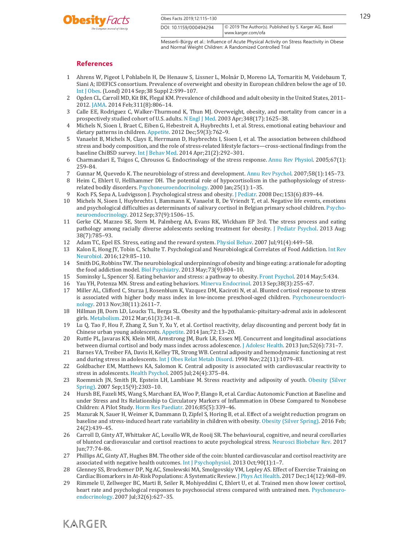



www.karger.com/ofa DOI: 10.1159/000494294 © 2019 The Author(s). Published by S. Karger AG, Basel

Messerli-Bürgy et al.: Influence of Acute Physical Activity on Stress Reactivity in Obese and Normal Weight Children: A Randomized Controlled Trial

#### **References**

- <span id="page-14-0"></span>[1](#page-1-0)  Ahrens W, Pigeot I, Pohlabeln H, De Henauw S, Lissner L, Molnár D, Moreno LA, Tornaritis M, Veidebaum T, Siani A; IDEFICS consortium. Prevalence of overweight and obesity in European children below the age of 10. [Int J Obes.](https://www.karger.com/Article/FullText/494294?ref=1#ref1) (Lond) 2014 Sep;38 Suppl 2:S99–107.
- <span id="page-14-1"></span>2 Ogden CL, Carroll MD, Kit BK, Flegal KM. Prevalence of childhood and adult obesity in the United States, 2011– 2012. [JAMA.](https://www.karger.com/Article/FullText/494294?ref=2#ref2) 2014 Feb;311(8):806–14.
- <span id="page-14-2"></span>[3](#page-1-1)  Calle EE, Rodriguez C, Walker-Thurmond K, Thun MJ. Overweight, obesity, and mortality from cancer in a prospectively studied cohort of U.S. adults. [N Engl J Med](https://www.karger.com/Article/FullText/494294?ref=3#ref3). 2003 Apr;348(17):1625–38.
- <span id="page-14-3"></span>Michels N, Sioen I, Braet C, Eiben G, Hebestreit A, Huybrechts I, et al. Stress, emotional eating behaviour and dietary patterns in children. [Appetite.](https://www.karger.com/Article/FullText/494294?ref=4#ref4) 2012 Dec;59(3):762–9.
- <span id="page-14-4"></span>[5](#page-1-2)  Vanaelst B, Michels N, Clays E, Herrmann D, Huybrechts I, Sioen I, et al. The association between childhood stress and body composition, and the role of stress-related lifestyle factors—cross-sectional findings from the baseline ChiBSD survey. [Int J Behav Med](https://www.karger.com/Article/FullText/494294?ref=5#ref5). 2014 Apr;21(2):292–301.
- <span id="page-14-5"></span>[6](#page-1-3)  Charmandari E, Tsigos C, Chrousos G. Endocrinology of the stress response. [Annu Rev Physiol.](https://www.karger.com/Article/FullText/494294?ref=6#ref6) 2005;67(1): 259–84.
- <span id="page-14-6"></span>[7](#page-1-4)  Gunnar M, Quevedo K. The neurobiology of stress and development. [Annu Rev Psychol.](https://www.karger.com/Article/FullText/494294?ref=7#ref7) 2007;58(1):145–73.
- <span id="page-14-7"></span>[8](#page-1-5)  Heim C, Ehlert U, Hellhammer DH. The potential role of hypocortisolism in the pathophysiology of stressrelated bodily disorders. [Psychoneuroendocrinology.](https://www.karger.com/Article/FullText/494294?ref=8#ref8) 2000 Jan;25(1):1–35.
- <span id="page-14-8"></span>9 Koch FS, Sepa A, Ludvigsson J. Psychological stress and obesity. [J Pediatr.](https://www.karger.com/Article/FullText/494294?ref=9#ref9) 2008 Dec; 153(6):839–44.<br>10 Michels N. Sioen J. Huyhrechts J. Bammann K. Vanaelst B. De Vriendt T. et al. Negative life events.
- Michels N, Sioen I, Huybrechts I, Bammann K, Vanaelst B, De Vriendt T, et al. Negative life events, emotions and psychological difficulties as determinants of salivary cortisol in Belgian primary school children. [Psycho](https://www.karger.com/Article/FullText/494294?ref=10#ref10)[neuroendocrinology](https://www.karger.com/Article/FullText/494294?ref=10#ref10). 2012 Sep;37(9):1506–15.
- [11](#page-1-7) Gerke CK, Mazzeo SE, Stern M, Palmberg AA, Evans RK, Wickham EP 3rd. The stress process and eating pathology among racially diverse adolescents seeking treatment for obesity. [J Pediatr Psychol](https://www.karger.com/Article/FullText/494294?ref=11#ref11). 2013 Aug; 38(7):785–93.
- [12](#page-1-8) Adam TC, Epel ES. Stress, eating and the reward system. [Physiol Behav](https://www.karger.com/Article/FullText/494294?ref=12#ref12). 2007 Jul;91(4):449–58.
- [13](#page-1-9) Kalon E, Hong JY, Tobin C, Schulte T. Psychological and Neurobiological Correlates of Food Addiction. [Int Rev](https://www.karger.com/Article/FullText/494294?ref=13#ref13) [Neurobiol.](https://www.karger.com/Article/FullText/494294?ref=13#ref13) 2016;129:85–110.
- [14](#page-1-9) Smith DG, Robbins TW. The neurobiological underpinnings of obesity and binge eating: a rationale for adopting the food addiction model. [Biol Psychiatry](https://www.karger.com/Article/FullText/494294?ref=14#ref14). 2013 May;73(9):804–10.
- [15](#page-1-10) Sominsky L, Spencer SJ. Eating behavior and stress: a pathway to obesity. [Front Psychol](https://www.karger.com/Article/FullText/494294?ref=15#ref15). 2014 May; 5:434.<br>16 Yau YH. Potenza MN. Stress and eating behaviors. Minerya Endocrinol. 2013 Sep: 38(3): 255–67.
- [16](#page-1-10) Yau YH, Potenza MN. Stress and eating behaviors. [Minerva Endocrinol.](https://www.karger.com/Article/FullText/494294?ref=16#ref16) 2013 Sep;38(3):255-67.<br>17 Miller AL, Clifford C, Sturza J, Rosenblum K, Vazquez DM, Kaciroti N. et al. Blunted cortisol respo
- [17](#page-1-11) Miller AL, Clifford C, Sturza J, Rosenblum K, Vazquez DM, Kaciroti N, et al. Blunted cortisol response to stress is associated with higher body mass index in low-income preschool-aged children. [Psychoneuroendocri](https://www.karger.com/Article/FullText/494294?ref=17#ref17)[nology.](https://www.karger.com/Article/FullText/494294?ref=17#ref17) 2013 Nov;38(11):2611–7.
- [18](#page-1-12) Hillman JB, Dorn LD, Loucks TL, Berga SL. Obesity and the hypothalamic-pituitary-adrenal axis in adolescent girls. [Metabolism.](https://www.karger.com/Article/FullText/494294?ref=18#ref18) 2012 Mar;61(3):341–8.
- [19](#page-1-13) Lu Q, Tao F, Hou F, Zhang Z, Sun Y, Xu Y, et al. Cortisol reactivity, delay discounting and percent body fat in Chinese urban young adolescents. [Appetite](https://www.karger.com/Article/FullText/494294?ref=19#ref19). 2014 Jan;72:13–20.
- [20](#page-1-14) Ruttle PL, Javaras KN, Klein MH, Armstrong JM, Burk LR, Essex MJ. Concurrent and longitudinal associations between diurnal cortisol and body mass index across adolescence. [J Adolesc Health](https://www.karger.com/Article/FullText/494294?ref=20#ref20). 2013 Jun;52(6):731–7.
- [21](#page-1-15) Barnes VA, Treiber FA, Davis H, Kelley TR, Strong WB. Central adiposity and hemodynamic functioning at rest and during stress in adolescents. [Int J Obes Relat Metab Disord.](https://www.karger.com/Article/FullText/494294?ref=21#ref21) 1998 Nov;22(11):1079–83.
- [22](#page-1-15) Goldbacher EM, Matthews KA, Salomon K. Central adiposity is associated with cardiovascular reactivity to stress in adolescents. [Health Psychol.](https://www.karger.com/Article/FullText/494294?ref=22#ref22) 2005 Jul;24(4):375–84.
- [23](#page-1-16) Roemmich JN, Smith JR, Epstein LH, Lambiase M. Stress reactivity and adiposity of youth. [Obesity \(Silver](https://www.karger.com/Article/FullText/494294?ref=23#ref23) [Spring\)](https://www.karger.com/Article/FullText/494294?ref=23#ref23). 2007 Sep;15(9):2303–10.
- [24](#page-1-17) Hursh BE, Fazeli MS, Wang S, Marchant EA, Woo P, Elango R, et al. Cardiac Autonomic Function at Baseline and under Stress and Its Relationship to Circulatory Markers of Inflammation in Obese Compared to Nonobese Children: A Pilot Study. [Horm Res Paediatr](https://www.karger.com/Article/FullText/494294?ref=24#ref24). 2016;85(5):339–46.
- [25](#page-1-17) Mazurak N, Sauer H, Weimer K, Dammann D, Zipfel S, Horing B, et al. Effect of a weight reduction program on baseline and stress-induced heart rate variability in children with obesity. [Obesity \(Silver Spring\)](https://www.karger.com/Article/FullText/494294?ref=25#ref25). 2016 Feb; 24(2):439–45.
- [26](#page-1-18) Carroll D, Ginty AT, Whittaker AC, Lovallo WR, de Rooij SR. The behavioural, cognitive, and neural corollaries of blunted cardiovascular and cortisol reactions to acute psychological stress. [Neurosci Biobehav Rev](https://www.karger.com/Article/FullText/494294?ref=26#ref26). 2017 Jun;77:74–86.
- [27](#page-1-18) Phillips AC, Ginty AT, Hughes BM. The other side of the coin: blunted cardiovascular and cortisol reactivity are associated with negative health outcomes. [Int J Psychophysiol.](https://www.karger.com/Article/FullText/494294?ref=27#ref27) 2013 Oct;90(1):1–7.
- [28](#page-1-19) Glenney SS, Brockemer DP, Ng AC, Smolewski MA, Smolgovskiy VM, Lepley AS. Effect of Exercise Training on Cardiac Biomarkers in At-Risk Populations: A Systematic Review. [J Phys Act Health](https://www.karger.com/Article/FullText/494294?ref=28#ref28). 2017 Dec;14(12):968–89.
- [29](#page-1-20) Rimmele U, Zellweger BC, Marti B, Seiler R, Mohiyeddini C, Ehlert U, et al. Trained men show lower cortisol, heart rate and psychological responses to psychosocial stress compared with untrained men. [Psychoneuro](https://www.karger.com/Article/FullText/494294?ref=29#ref29)[endocrinology.](https://www.karger.com/Article/FullText/494294?ref=29#ref29) 2007 Jul;32(6):627–35.